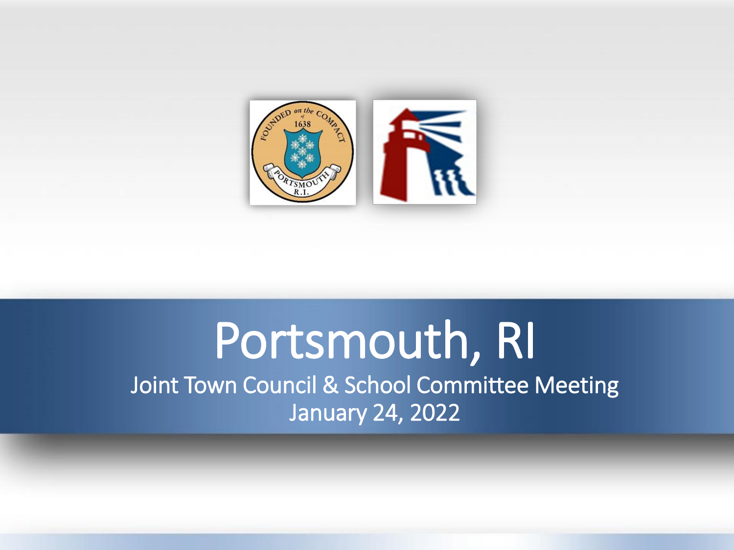

# Portsmouth, RI Joint Town Council & School Committee Meeting January 24, 2022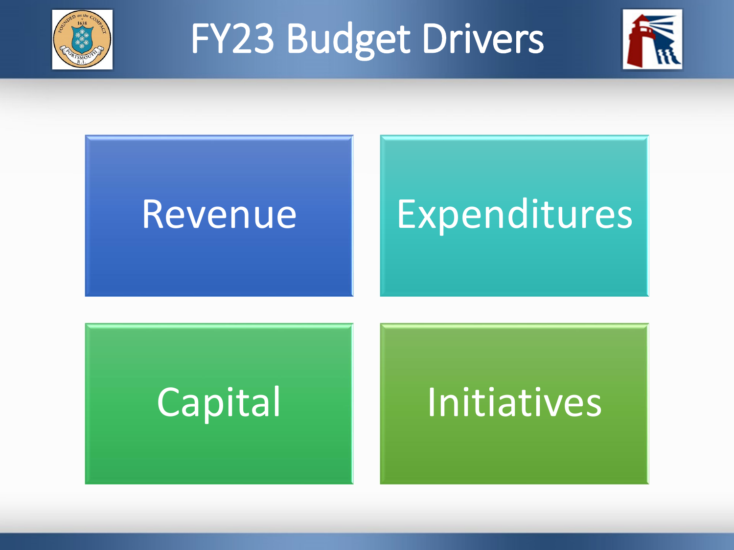

# FY23 Budget Drivers



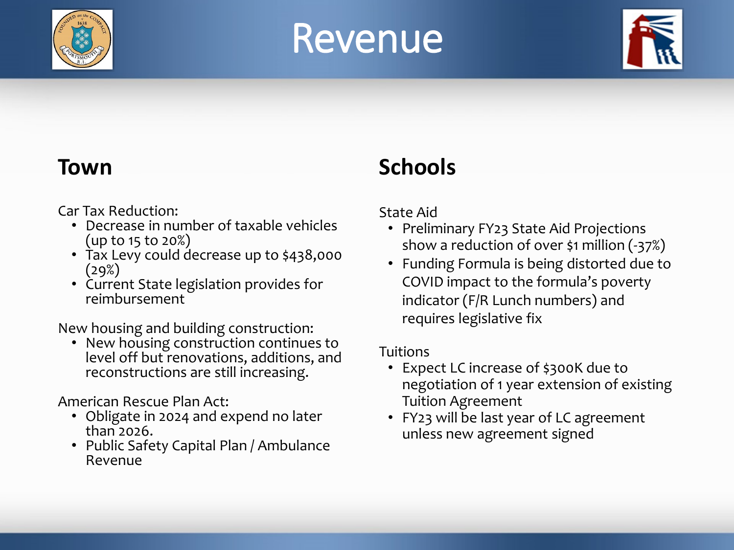

# Revenue



## **Town**

Car Tax Reduction:

- Decrease in number of taxable vehicles (up to 15 to 20%)
- Tax Levy could decrease up to \$438,000  $(29%)$
- Current State legislation provides for reimbursement

New housing and building construction:

• New housing construction continues to level off but renovations, additions, and reconstructions are still increasing.

American Rescue Plan Act:

- Obligate in 2024 and expend no later than 2026.
- Public Safety Capital Plan / Ambulance Revenue

# **Schools**

### State Aid

- Preliminary FY23 State Aid Projections show a reduction of over \$1 million (-37%)
- Funding Formula is being distorted due to COVID impact to the formula's poverty indicator (F/R Lunch numbers) and requires legislative fix

### Tuitions

- Expect LC increase of \$300K due to negotiation of 1 year extension of existing Tuition Agreement
- FY23 will be last year of LC agreement unless new agreement signed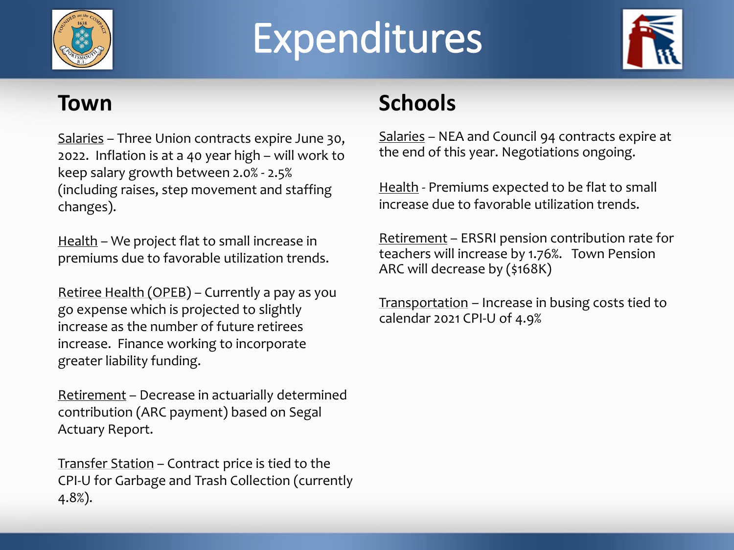

# Expenditures



## **Town**

Salaries – Three Union contracts expire June 30, 2022. Inflation is at a 40 year high – will work to keep salary growth between 2.0% - 2.5% (including raises, step movement and staffing changes).

Health – We project flat to small increase in premiums due to favorable utilization trends.

Retiree Health (OPEB) – Currently a pay as you go expense which is projected to slightly increase as the number of future retirees increase. Finance working to incorporate greater liability funding.

Retirement – Decrease in actuarially determined contribution (ARC payment) based on Segal Actuary Report.

Transfer Station – Contract price is tied to the CPI-U for Garbage and Trash Collection (currently 4.8%).

# **Schools**

Salaries – NEA and Council 94 contracts expire at the end of this year. Negotiations ongoing.

Health - Premiums expected to be flat to small increase due to favorable utilization trends.

Retirement – ERSRI pension contribution rate for teachers will increase by 1.76%. Town Pension ARC will decrease by (\$168K)

Transportation – Increase in busing costs tied to calendar 2021 CPI-U of 4.9%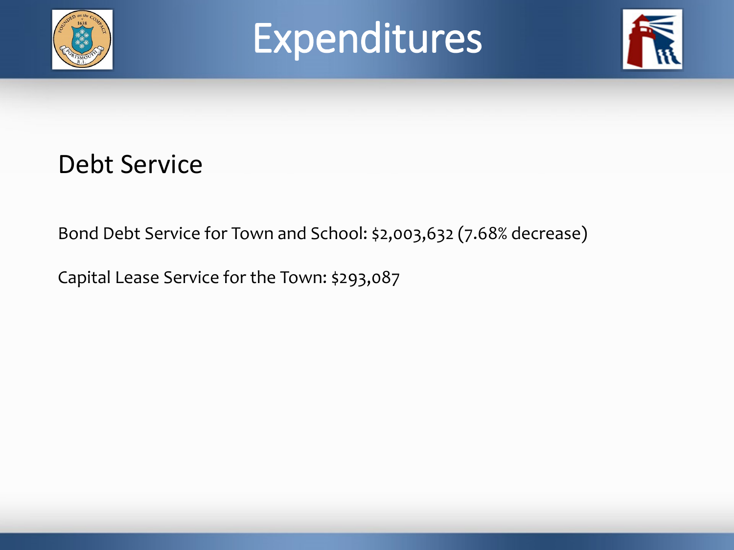





# Debt Service

Bond Debt Service for Town and School: \$2,003,632 (7.68% decrease)

Capital Lease Service for the Town: \$293,087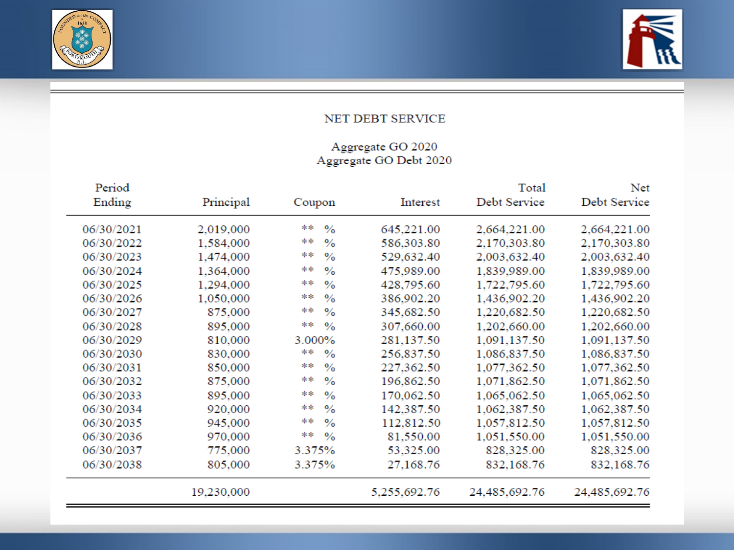



#### NET DEBT SERVICE

# Aggregate GO 2020<br>Aggregate GO Debt 2020

| Net<br>Debt Service | Total<br>Debt Service | Interest     | Coupon              | Principal  | Period<br>Ending |
|---------------------|-----------------------|--------------|---------------------|------------|------------------|
| 2,664,221.00        | 2,664,221.00          | 645,221.00   | **<br>$\%$          | 2,019,000  | 06/30/2021       |
| 2,170,303.80        | 2,170,303.80          | 586,303.80   | **<br>$\%$          | 1,584,000  | 06/30/2022       |
| 2,003,632.40        | 2,003,632.40          | 529,632.40   | **<br>$\frac{0}{0}$ | 1,474,000  | 06/30/2023       |
| 1,839,989.00        | 1,839,989.00          | 475,989.00   | **<br>$\frac{0}{0}$ | 1,364,000  | 06/30/2024       |
| 1,722,795.60        | 1,722,795.60          | 428,795.60   | 車車<br>$\frac{0}{0}$ | 1,294,000  | 06/30/2025       |
| 1,436,902.20        | 1,436,902.20          | 386,902.20   | **<br>$\frac{0}{0}$ | 1,050,000  | 06/30/2026       |
| 1,220,682.50        | 1,220,682.50          | 345,682.50   | **<br>$\frac{0}{0}$ | 875,000    | 06/30/2027       |
| 1,202,660.00        | 1,202,660.00          | 307,660.00   | **<br>$\frac{9}{6}$ | 895,000    | 06/30/2028       |
| 1,091,137.50        | 1,091,137.50          | 281,137.50   | 3.000%              | 810,000    | 06/30/2029       |
| 1,086,837.50        | 1,086,837.50          | 256,837.50   | **<br>$\%$          | 830,000    | 06/30/2030       |
| 1,077,362.50        | 1,077,362.50          | 227,362.50   | **<br>$\%$          | 850,000    | 06/30/2031       |
| 1,071,862.50        | 1,071,862.50          | 196,862.50   | **<br>$\frac{0}{0}$ | 875,000    | 06/30/2032       |
| 1,065,062.50        | 1,065,062.50          | 170,062.50   | **<br>$\frac{0}{0}$ | 895,000    | 06/30/2033       |
| 1,062,387.50        | 1,062,387.50          | 142,387.50   | **<br>$\frac{0}{0}$ | 920,000    | 06/30/2034       |
| 1,057,812.50        | 1,057,812.50          | 112,812.50   | **<br>$\frac{0}{0}$ | 945,000    | 06/30/2035       |
| 1,051,550.00        | 1,051,550.00          | 81,550.00    | **<br>$\%$          | 970,000    | 06/30/2036       |
| 828,325.00          | 828,325.00            | 53,325.00    | 3.375%              | 775,000    | 06/30/2037       |
| 832,168.76          | 832,168.76            | 27,168.76    | 3.375%              | 805,000    | 06/30/2038       |
| 24,485,692.76       | 24,485,692.76         | 5,255,692.76 |                     | 19,230,000 |                  |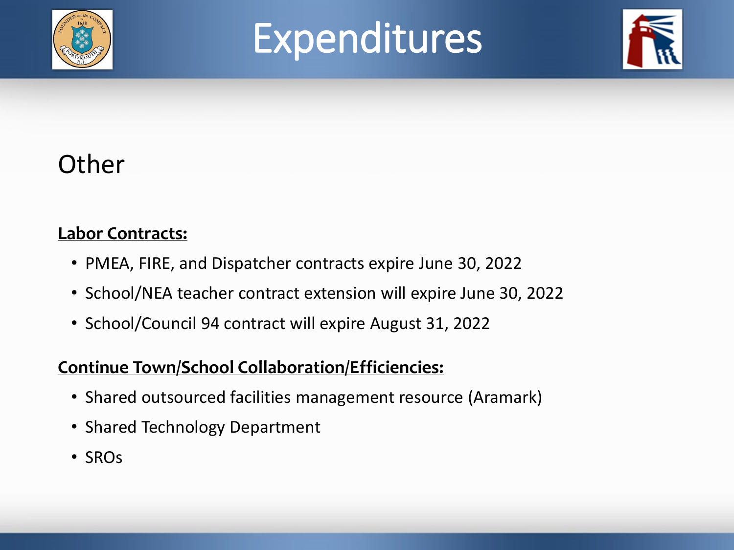

# Expenditures



# **Other**

### **Labor Contracts:**

- PMEA, FIRE, and Dispatcher contracts expire June 30, 2022
- School/NEA teacher contract extension will expire June 30, 2022
- School/Council 94 contract will expire August 31, 2022

## **Continue Town/School Collaboration/Efficiencies:**

- Shared outsourced facilities management resource (Aramark)
- Shared Technology Department
- SROs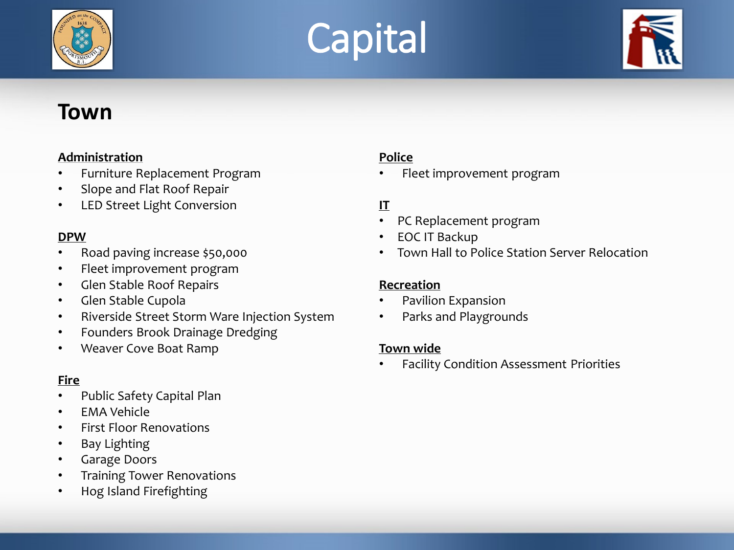





## **Town**

#### **Administration**

- Furniture Replacement Program
- Slope and Flat Roof Repair
- LED Street Light Conversion

#### **DPW**

- Road paving increase \$50,000
- Fleet improvement program
- Glen Stable Roof Repairs
- Glen Stable Cupola
- Riverside Street Storm Ware Injection System
- Founders Brook Drainage Dredging
- Weaver Cove Boat Ramp

### **Fire**

- Public Safety Capital Plan
- EMA Vehicle
- First Floor Renovations
- Bay Lighting
- Garage Doors
- Training Tower Renovations
- Hog Island Firefighting

#### **Police**

• Fleet improvement program

#### **IT**

- PC Replacement program
- EOC IT Backup
- Town Hall to Police Station Server Relocation

#### **Recreation**

- Pavilion Expansion
- Parks and Playgrounds

#### **Town wide**

• Facility Condition Assessment Priorities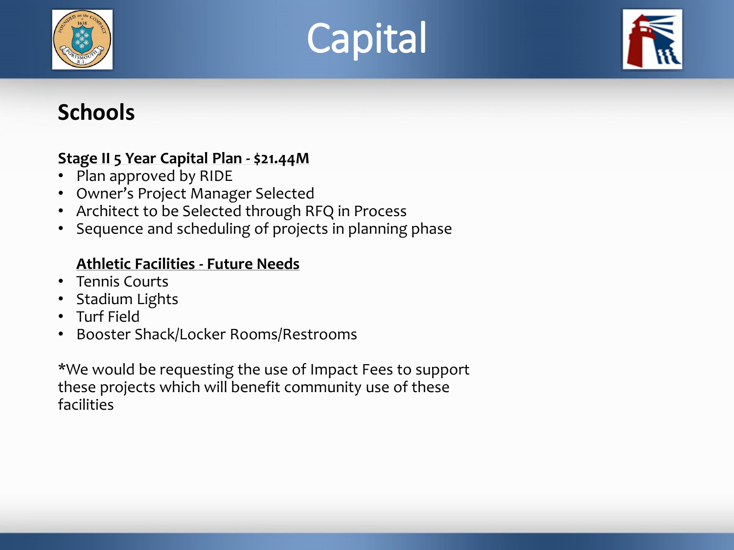





## **Schools**

### **Stage II 5 Year Capital Plan - \$21.44M**

- Plan approved by RIDE
- Owner's Project Manager Selected
- Architect to be Selected through RFQ in Process
- Sequence and scheduling of projects in planning phase

### **Athletic Facilities - Future Needs**

- Tennis Courts
- Stadium Lights
- Turf Field
- Booster Shack/Locker Rooms/Restrooms

\*We would be requesting the use of Impact Fees to support these projects which will benefit community use of these facilities